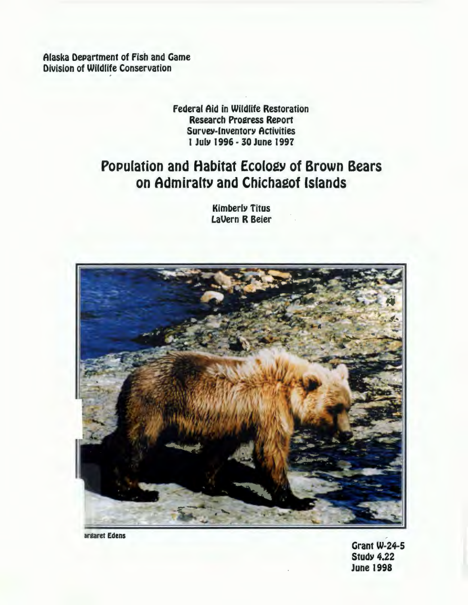Alaska Department of Fish and Game **Division of Wildlife Conservation** 

# **Federal Aid in Wildlife Restoration Research Progress Report Survey-Inventory Activities** 1 July 1996 - 30 June 1997

# **Population and Habitat Ecology of Brown Bears** on Admiralty and Chichagof Islands

**Kimberly Titus LaVern R Beier** 



argaret Edens

**Grant W-24-5 Study 4.22 June 1998**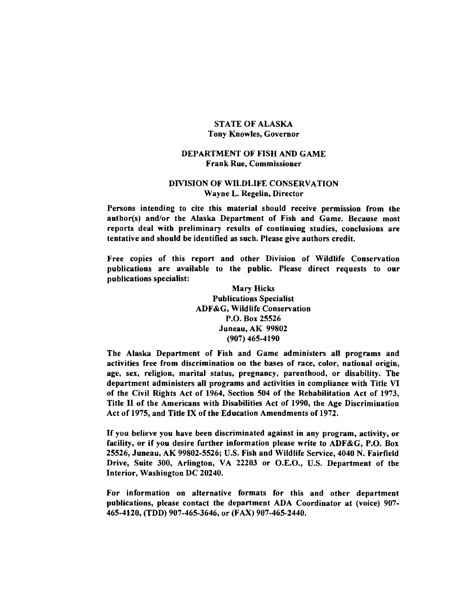#### STATE OF ALASKA Tony Knowles, Governor

#### DEPARTMENT OF FISH AND GAME Frank Rue, Commissioner

#### DIVISION OF WILDLIFE CONSERVATION Wayne L. Regelin, Director

Persons intending to cite this material should receive permission from the author(s) and/or the Alaska Department of Fish and Game. Because most reports deal with preliminary results of continuing studies, conclusions are tentative and should be identified as such. Please give authors credit.

Free copies of this report and other Division of Wildlife Conservation publications are available to the public. Please direct requests to our publications specialist:

> Mary Hicks Publications Specialist ADF&G, Wildlife Conservation P.O. Box 25526 Juneau, AK 99802 (907) 465·4190

The Alaska Department of Fish and Game administers all programs and activities free from discrimination on the bases of race, color, national origin, age, sex, religion, marital status, pregnancy, parenthood, or disability. The department administers all programs and activities in compliance with Title VI of the Civil Rights Act of 1964, Section 504 of the Rehabilitation Act of 1973, Title II of the Americans with Disabilities Act of 1990, the Age Discrimination Act of 1975, and Title IX of the Education Amendments of 1972.

If you believe you have been discriminated against in any program, activity, or facility, or if you desire further information please write to ADF&G, P.O. Box 25526, Juneau, AK 99802·5526; U.S. Fish and Wildlife Service, 4040 N. Fairfield Drive, Suite 300, Arlington, VA 22203 or O.E.O., U.S. Department of the Interior, Washington DC 20240.

For information on alternative formats for this and other department publications, please contact the department ADA Coordinator at (voice) 907· 465·4120, (TDD) 907·465-3646, or (FAX) 907-465-2440.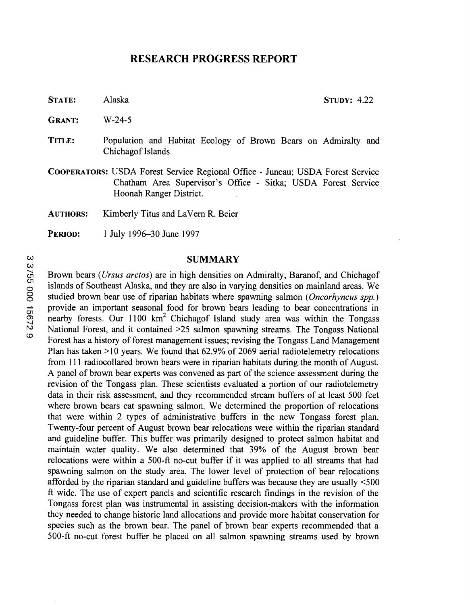## RESEARCH PROGRESS REPORT

STATE: Alaska STUDY: 4.22

- GRANT: W-24-5
- TITLE: Population and Habitat Ecology of Brown Bears on Admiralty and Chichagof Islands
- COOPERATORS: USDA Forest Service Regional Office Juneau; USDA Forest Service Chatham Area Supervisor's Office - Sitka; USDA Forest Service Hoonah Ranger District.
- AUTHORS: Kimberly Titus and LaVern R. Beier
- **PERIOD:** 1 July 1996-30 June 1997

## **SUMMARY**

Brown bears *(Ursus arctos)* are in high densities on Admiralty, Baranof, and Chichagof islands of Southeast Alaska, and they are also in varying densities on mainland areas. We 0 studied brown bear use of riparian habitats where spawning salmon ( *Oncorhyncus spp.)*  provide an important seasonal food for brown bears leading to bear concentrations in nearby forests. Our  $1100 \text{ km}^2$  Chichagof Island study area was within the Tongass National Forest, and it contained >25 salmon spawning streams. The Tongass National Forest has a history of forest management issues; revising the Tongass Land Management Plan has taken  $>10$  years. We found that 62.9% of 2069 aerial radiotelemetry relocations from Ill radiocollared brown bears were in riparian habitats during the month of August. A panel of brown bear experts was convened as part of the science assessment during the revision of the Tongass plan. These scientists evaluated a portion of our radiotelemetry data in their risk assessment, and they recommended stream buffers of at least 500 feet where brown bears eat spawning salmon. We determined the proportion of relocations that were within 2 types of administrative buffers in the new Tongass forest plan. Twenty-four percent of August brown bear relocations were within the riparian standard and guideline buffer. This buffer was primarily designed to protect salmon habitat and maintain water quality. We also determined that 39% of the August brown bear relocations were within a 500-ft no-cut buffer if it was applied to all streams that had spawning salmon on the study area. The lower level of protection of bear relocations afforded by the riparian standard and guideline buffers was because they are usually <500 ft wide. The use of expert panels and scientific research findings in the revision of the Tongass forest plan was instrumental in assisting decision-makers with the information they needed to change historic land allocations and provide more habitat conservation for species such as the brown bear. The panel of brown bear experts recommended that a 500-ft no-cut forest buffer be placed on all salmon spawning streams used by brown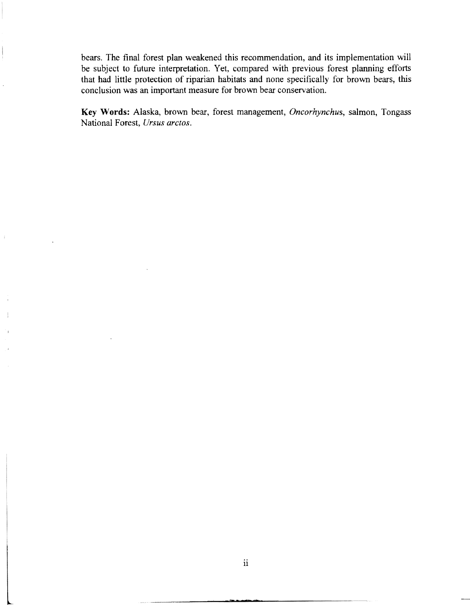bears. The final forest plan weakened this recommendation, and its implementation will be subject to future interpretation. Yet, compared with previous forest planning efforts that had little protection of riparian habitats and none specifically for brown bears, this conclusion was an important measure for brown bear conservation.

**Key Words:** Alaska, brown bear, forest management, *Oncorhynchus,* salmon, Tongass National Forest, *Ursus arctos.* 

 $\ddot{\phantom{a}}$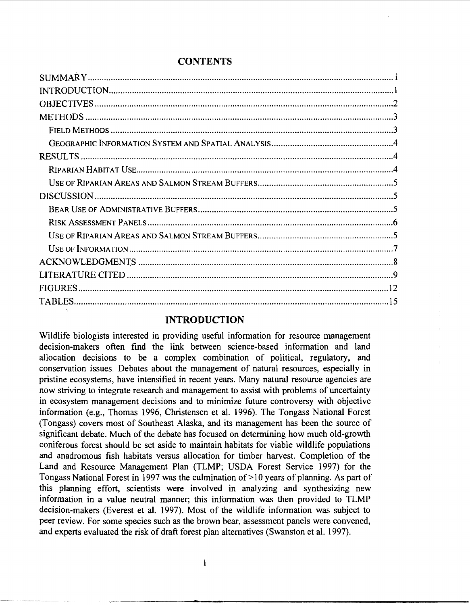# **CONTENTS**

# **INTRODUCTION**

Wildlife biologists interested in providing useful information for resource management decision-makers often find the link between science-based information and land allocation decisions to be a complex combination of political, regulatory, and conservation issues. Debates about the management of natural resources, especially in pristine ecosystems, have intensified in recent years. Many natural resource agencies are now striving to integrate research and management to assist with problems of uncertainty in ecosystem management decisions and to minimize future controversy with objective information (e.g., Thomas 1996, Christensen et al. 1996). The Tongass National Forest (Tongass) covers most of Southeast Alaska, and its management has been the source of significant debate. Much of the debate has focused on determining how much old-growth coniferous forest should be set aside to maintain habitats for viable wildlife populations and anadromous fish habitats versus allocation for timber harvest. Completion of the Land and Resource Management Plan (TLMP; USDA Forest Service 1997) for the Tongass National Forest in 1997 was the culmination of >10 years of planning. As part of this planning effort, scientists were involved in analyzing and synthesizing new information in a value neutral manner; this information was then provided to TLMP decision-makers (Everest et al. 1997). Most of the wildlife information was subject to peer review. For some species such as the brown bear, assessment panels were convened, and experts evaluated the risk of draft forest plan alternatives (Swanston et al. 1997).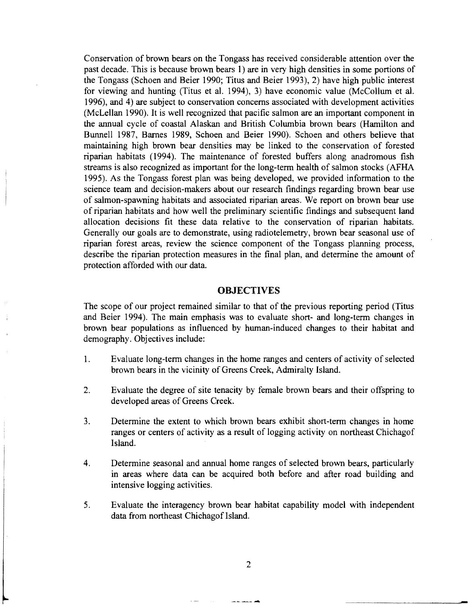Conservation of brown bears on the Tongass has received considerable attention over the past decade. This is because brown bears I) are in very high densities in some portions of the Tongass (Schoen and Beier 1990; Titus and Beier 1993), 2) have high public interest for viewing and hunting (Titus et al. 1994), 3) have economic value (McCollum et al. 1996), and 4) are subject to conservation concerns associated with development activities (McLellan 1990). It is well recognized that pacific salmon are an important component in the annual cycle of coastal Alaskan and British Columbia brown bears (Hamilton and Bunnell 1987, Barnes 1989, Schoen and Beier 1990). Schoen and others believe that maintaining high brown bear densities may be linked to the conservation of forested riparian habitats (1994). The maintenance of forested buffers along anadromous fish streams is also recognized as important for the long-term health of salmon stocks (AFHA 1995). As the Tongass forest plan was being developed, we provided information to the science team and decision-makers about our research findings regarding brown bear use of salmon-spawning habitats and associated riparian areas. We report on brown bear use of riparian habitats and how well the preliminary scientific findings and subsequent land allocation decisions fit these data relative to the conservation of riparian habitats. Generally our goals are to demonstrate, using radiotelemetry, brown bear seasonal use of riparian forest areas, review the science component of the Tongass planning process, describe the riparian protection measures in the final plan, and determine the amount of protection afforded with our data.

## **OBJECTIVES**

The scope of our project remained similar to that of the previous reporting period (Titus and Beier 1994). The main emphasis was to evaluate short- and long-term changes in brown bear populations as influenced by human-induced changes to their habitat and demography. Objectives include:

- 1. Evaluate long-term changes in the home ranges and centers of activity of selected brown bears in the vicinity of Greens Creek, Admiralty Island.
- 2. Evaluate the degree of site tenacity by female brown bears and their offspring to developed areas of Greens Creek.
- 3. Determine the extent to which brown bears exhibit short-term changes in home ranges or centers of activity as a result of logging activity on northeast Chichagof Island.
- 4. Determine seasonal and annual home ranges of selected brown bears, particularly in areas where data can be acquired both before and after road building and intensive logging activities.
- 5. Evaluate the interagency brown bear habitat capability model with independent data from northeast Chichagof Island.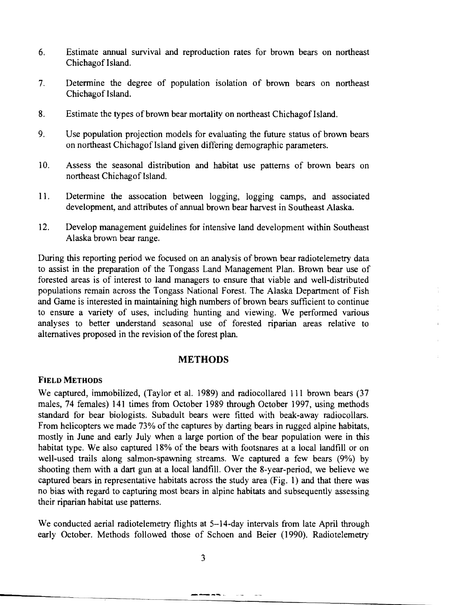- 6. Estimate annual survival and reproduction rates for brown bears on northeast Chichagof Island.
- 7. Determine the degree of population isolation of brown bears on northeast Chichagof Island.
- 8. Estimate the types of brown bear mortality on northeast Chichagof Island.
- 9. Use population projection models for evaluating the future status of brown bears on northeast Chichagof Island given differing demographic parameters.
- 10. Assess the seasonal distribution and habitat use patterns of brown bears on northeast Chichagof Island.
- 11. Determine the assocation between logging, logging camps, and associated development, and attributes of annual brown bear harvest in Southeast Alaska.
- 12. Develop management guidelines for intensive land development within Southeast Alaska brown bear range.

During this reporting period we focused on an analysis of brown bear radiotelemetry data to assist in the preparation of the Tongass Land Management Plan. Brown bear use of forested areas is of interest to land managers to ensure that viable and well-distributed populations remain across the Tongass National Forest. The Alaska Department of Fish and Game is interested in maintaining high numbers of brown bears sufficient to continue to ensure a variety of uses, including hunting and viewing. We performed various analyses to better understand seasonal use of forested riparian areas relative to alternatives proposed in the revision of the forest plan.

#### **METHODS**

#### **FIELD METHODS**

We captured, immobilized, (Taylor et al. 1989) and radiocollared 111 brown bears (37 males, 74 females) 141 times from October 1989 through October 1997, using methods standard for bear biologists. Subadult bears were fitted with beak-away radiocollars. From helicopters we made 73% of the captures by darting bears in rugged alpine habitats, mostly in June and early July when a large portion of the bear population were in this habitat type. We also captured 18% of the bears with footsnares at a local landfill or on well-used trails along salmon-spawning streams. We captured a few bears (9%) by shooting them with a dart gun at a local landfill. Over the 8-year-period, we believe we captured bears in representative habitats across the study area (Fig. 1) and that there was no bias with regard to capturing most bears in alpine habitats and subsequently assessing their riparian habitat use patterns.

We conducted aerial radiotelemetry flights at 5-14-day intervals from late April through early October. Methods followed those of Schoen and Beier (1990). Radiotelemetry

----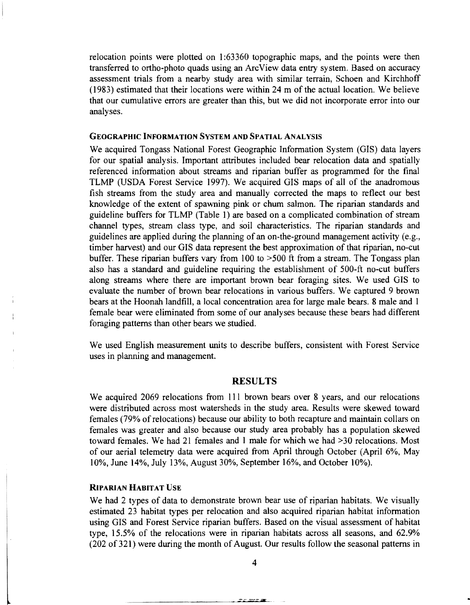relocation points were plotted on 1:63360 topographic maps, and the points were then transferred to ortho-photo quads using an Arc View data entry system. Based on accuracy assessment trials from a nearby study area with similar terrain, Schoen and Kirchhoff (1983) estimated that their locations were within 24 m of the actual location. We believe that our cumulative errors are greater than this, but we did not incorporate error into our analyses.

#### GEOGRAPHIC INFORMATION SYSTEM AND SPATIAL ANALYSIS

We acquired Tongass National Forest Geographic Information System (GIS) data layers for our spatial analysis. Important attributes included bear relocation data and spatially referenced information about streams and riparian buffer as programmed for the final TLMP (USDA Forest Service 1997). We acquired GIS maps of all of the anadromous fish streams from the study area and manually corrected the maps to reflect our best knowledge of the extent of spawning pink or chum salmon. The riparian standards and guideline buffers for TLMP (Table 1) are based on a complicated combination of stream channel types, stream class type, and soil characteristics. The riparian standards and guidelines are applied during the planning of an on-the-ground management activity (e.g., timber harvest) and our GIS data represent the best approximation of that riparian, no-cut buffer. These riparian buffers vary from  $100$  to  $>500$  ft from a stream. The Tongass plan also has a standard and guideline requiring the establishment of 500-ft no-cut buffers along streams where there are important brown bear foraging sites. We used GIS to evaluate the number of brown bear relocations in various buffers. We captured 9 brown bears at the Hoonah landfill, a local concentration area for large male bears. 8 male and 1 female bear were eliminated from some of our analyses because these bears had different foraging patterns than other bears we studied.

We used English measurement units to describe buffers, consistent with Forest Service uses in planning and management.

#### RESULTS

We acquired 2069 relocations from 111 brown bears over 8 years, and our relocations were distributed across most watersheds in the study area. Results were skewed toward females (79% of relocations) because our ability to both recapture and maintain collars on females was greater and also because our study area probably has a population skewed toward females. We had 21 females and 1 male for which we had >30 relocations. Most of our aerial telemetry data were acquired from April through October (April 6%, May 10%, June 14%, July 13%, August 30%, September 16%, and October 10%).

#### RIPARIAN HABITAT USE

We had 2 types of data to demonstrate brown bear use of riparian habitats. We visually estimated 23 habitat types per relocation and also acquired riparian habitat information using GIS and Forest Service riparian buffers. Based on the visual assessment of habitat type, 15.5% of the relocations were in riparian habitats across all seasons, and 62.9% (202 of 321) were during the month of August. Our results follow the seasonal patterns in

4

that the main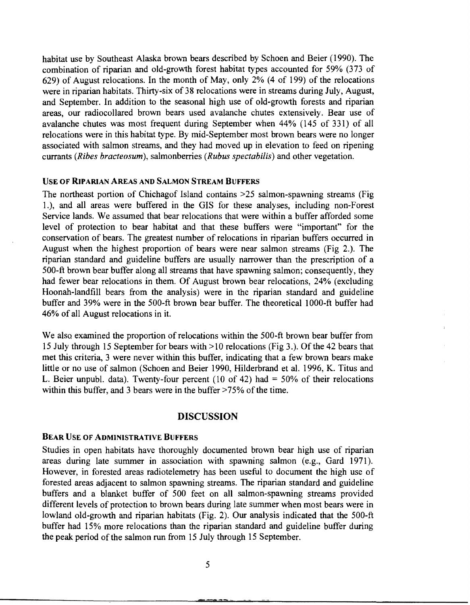habitat use by Southeast Alaska brown bears described by Schoen and Beier (1990). The combination of riparian and old-growth forest habitat types accounted for 59% (373 of 629) of August relocations. In the month of May, only 2% ( 4 of 199) of the relocations were in riparian habitats. Thirty-six of 38 relocations were in streams during July, August, and September. In addition to the seasonal high use of old-growth forests and riparian areas, our radiocollared brown bears used avalanche chutes extensively. Bear use of avalanche chutes was most frequent during September when 44% (145 of 331) of all relocations were in this habitat type. By mid-September most brown bears were no longer associated with salmon streams, and they had moved up in elevation to feed on ripening currants *(Ribes bracteosum),* salmonberries *(Rubus spectabilis)* and other vegetation.

## USE OF RIPARIAN AREAS AND SALMON STREAM BUFFERS

The northeast portion of Chichagof Island contains >25 salmon-spawning streams (Fig 1.), and all areas were buffered in the GIS for these analyses, including non-Forest Service lands. We assumed that bear relocations that were within a buffer afforded some level of protection to bear habitat and that these buffers were "important" for the conservation of bears. The greatest number of relocations in riparian buffers occurred in August when the highest proportion of bears were near salmon streams (Fig 2.). The riparian standard and guideline buffers are usually narrower than the prescription of a 500-ft brown bear buffer along all streams that have spawning salmon; consequently, they had fewer bear relocations in them. Of August brown bear relocations, 24% (excluding Hoonah-landfill bears from the analysis) were in the riparian standard and guideline buffer and 39% were in the 500-ft brown bear buffer. The theoretical 1 000-ft buffer had 46% of all August relocations in it.

We also examined the proportion of relocations within the 500-ft brown bear buffer from 15 July through 15 September for bears with >10 relocations (Fig 3.). Of the 42 bears that met this criteria, 3 were never within this buffer, indicating that a few brown bears make little or no use of salmon (Schoen and Beier 1990, Hilderbrand et al. 1996, K. Titus and L. Beier unpubl. data). Twenty-four percent (10 of 42) had  $=$  50% of their relocations within this buffer, and 3 bears were in the buffer  $>75\%$  of the time.

#### DISCUSSION

#### BEAR USE OF ADMINISTRATIVE BUFFERS

Studies in open habitats have thoroughly documented brown bear high use of riparian areas during late summer in association with spawning salmon (e.g., Gard 1971). However, in forested areas radiotelemetry has been useful to document the high use of forested areas adjacent to salmon spawning streams. The riparian standard and guideline buffers and a blanket buffer of 500 feet on all salmon-spawning streams provided different levels of protection to brown bears during late summer when most bears were in lowland old-growth and riparian habitats (Fig. 2). Our analysis indicated that the 500-ft buffer had 15% more relocations than the riparian standard and guideline buffer during the peak period of the salmon run from 15 July through 15 September.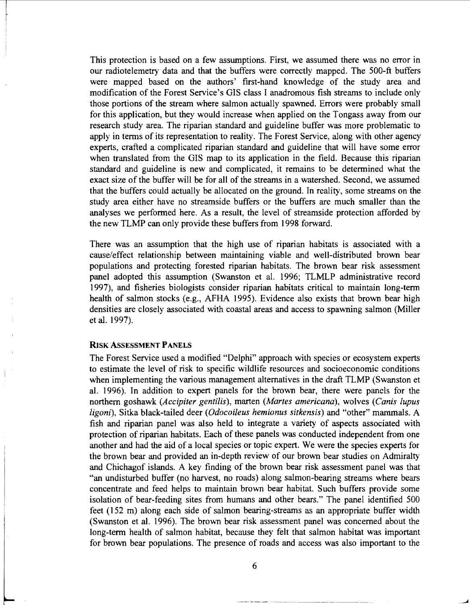This protection is based on a few assumptions. First, we assumed there was no error in our radiotelemetry data and that the buffers were correctly mapped. The 500-ft buffers were mapped based on the authors' first-hand knowledge of the study area and modification of the Forest Service's GIS class I anadromous fish streams to include only those portions of the stream where salmon actually spawned. Errors were probably small for this application, but they would increase when applied on the Tongass away from our research study area. The riparian standard and guideline buffer was more problematic to apply in terms of its representation to reality. The Forest Service, along with other agency experts, crafted a complicated riparian standard and guideline that will have some error when translated from the GIS map to its application in the field. Because this riparian standard and guideline is new and complicated, it remains to be determined what the exact size of the buffer will be for all of the streams in a watershed. Second, we assumed that the buffers could actually be allocated on the ground. In reality, some streams on the study area either have no streamside buffers or the buffers are much smaller than the analyses we performed here. As a result, the level of streamside protection afforded by the new TLMP can only provide these buffers from 1998 forward.

There was an assumption that the high use of riparian habitats is associated with a cause/effect relationship between maintaining viable and well-distributed brown bear populations and protecting forested riparian habitats. The brown bear risk assessment panel adopted this assumption (Swanston et al. 1996; TLMLP administrative record 1997), and fisheries biologists consider riparian habitats critical to maintain long-term health of salmon stocks (e.g., AFHA 1995). Evidence also exists that brown bear high densities are closely associated with coastal areas and access to spawning salmon (Miller et al. 1997).

#### RISK AsSESSMENT PANELS

The Forest Service used a modified "Delphi" approach with species or ecosystem experts to estimate the level of risk to specific wildlife resources and socioeconomic conditions when implementing the various management alternatives in the draft TLMP (Swanston et al. 1996). In addition to expert panels for the brown bear, there were panels for the northern goshawk *(Accipiter gentilis),* marten *(Martes americana),* wolves *(Canis lupus ligoni),* Sitka black-tailed deer *(Odocoileus hemionus sitkensis)* and "other" mammals. A fish and riparian panel was also held to integrate a variety of aspects associated with protection of riparian habitats. Each of these panels was conducted independent from one another and had the aid of a local species or topic expert. We were the species experts for the brown bear and provided an in-depth review of our brown bear studies on Admiralty and Chichagof islands. A key finding of the brown bear risk assessment panel was that "an undisturbed buffer (no harvest, no roads) along salmon-bearing streams where bears concentrate and feed helps to maintain brown bear habitat. Such buffers provide some isolation of bear-feeding sites from humans and other bears." The panel identified 500 feet (152 m) along each side of salmon bearing-streams as an appropriate buffer width (Swanston et al. 1996). The brown bear risk assessment panel was concerned about the long-term health of salmon habitat, because they felt that salmon habitat was important for brown bear populations. The presence of roads and access was also important to the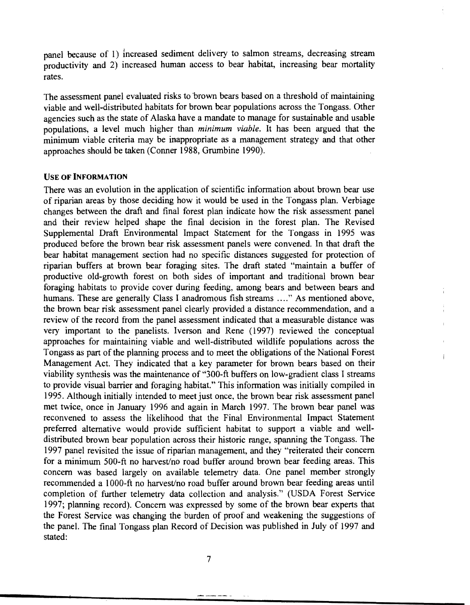panel because of 1) increased sediment delivery to salmon streams, decreasing stream productivity and 2) increased human access to bear habitat, increasing bear mortality rates.

The assessment panel evaluated risks to 'brown bears based on a threshold of maintaining viable and well-distributed habitats for brown bear populations across the Tongass. Other agencies such as the state of Alaska have a mandate to manage for sustainable and usable populations, a level much higher than *minimum viable.* It has been argued that the minimum viable criteria may be inappropriate as a management strategy and that other approaches should be taken (Conner 1988, Grumbine 1990).

#### USE OF INFORMATION

There was an evolution in the application of scientific information about brown bear use of riparian areas by those deciding how it would be used in the Tongass plan. Verbiage changes between the draft and final forest plan indicate how the risk assessment panel and their review helped shape the final decision in the forest plan. The Revised Supplemental Draft Environmental Impact Statement for the Tongass in 1995 was produced before the brown bear risk assessment panels were convened. In that draft the bear habitat management section had no specific distances suggested for protection of riparian buffers at brown bear foraging sites. The draft stated "maintain a buffer of productive old-growth forest on both sides of important and traditional brown bear foraging habitats to provide cover during feeding, among bears and between bears and humans. These are generally Class I anadromous fish streams ...." As mentioned above, the brown bear risk assessment panel clearly provided a distance recommendation, and a review of the record from the panel assessment indicated that a measurable distance was very important to the panelists. Iverson and Rene (1997) reviewed the conceptual approaches for maintaining viable and well-distributed wildlife populations across the Tongass as part of the planning process and to meet the obligations of the National Forest Management Act. They indicated that a key parameter for brown bears based on their viability synthesis was the maintenance of "300-ft buffers on low-gradient class I streams to provide visual barrier and foraging habitat." This information was initially compiled in 1995. Although initially intended to meet just once, the brown bear risk assessment panel met twice, once in January 1996 and again in March 1997. The brown bear panel was reconvened to assess the likelihood that the Final Environmental Impact Statement preferred alternative would provide sufficient habitat to support a viable and welldistributed brown bear population across their historic range, spanning the Tongass. The 1997 panel revisited the issue of riparian management, and they "reiterated their concern for a minimum 500-ft no harvest/no road buffer around brown bear feeding areas. This concern was based largely on available telemetry data. One panel member strongly recommended a 1 000-ft no harvest/no road buffer around brown bear feeding areas until completion of further telemetry data collection and analysis." (USDA Forest Service 1997; planning record). Concern was expressed by some of the brown bear experts that the Forest Service was changing the burden of proof and weakening the suggestions of the panel. The final Tongass plan Record of Decision was published in July of 1997 and stated: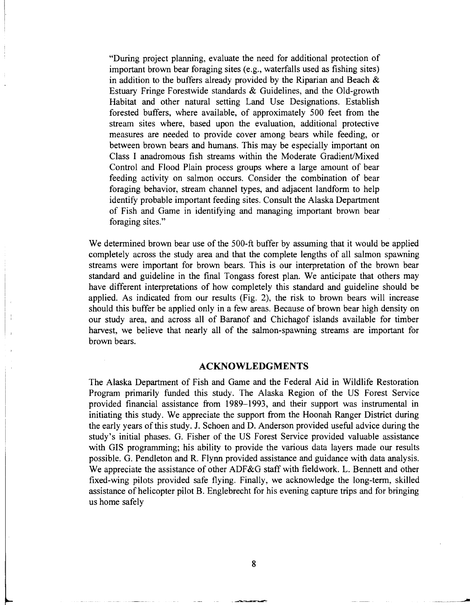"During project planning, evaluate the need for additional protection of important brown bear foraging sites (e.g., waterfalls used as fishing sites) in addition to the buffers already provided by the Riparian and Beach  $\&$ Estuary Fringe Forestwide standards & Guidelines, and the Old-growth Habitat and other natural setting Land Use Designations. Establish forested buffers, where available, of approximately 500 feet from the stream sites where, based upon the evaluation, additional protective measures are needed to provide cover among bears while feeding, or between brown bears and humans. This may be especially important on Class I anadromous fish streams within the Moderate Gradient/Mixed Control and Flood Plain process groups where a large amount of bear feeding activity on salmon occurs. Consider the combination of bear foraging behavior, stream channel types, and adjacent landform to help identify probable important feeding sites. Consult the Alaska Department of Fish and Game in identifying and managing important brown bear foraging sites."

We determined brown bear use of the 500-ft buffer by assuming that it would be applied completely across the study area and that the complete lengths of all salmon spawning streams were important for brown bears. This is our interpretation of the brown bear standard and guideline in the final Tongass forest plan. We anticipate that others may have different interpretations of how completely this standard and guideline should be applied. As indicated from our results (Fig. 2), the risk to brown bears will increase should this buffer be applied only in a few areas. Because of brown bear high density on our study area, and across all of Baranof and Chichagof islands available for timber harvest, we believe that nearly all of the salmon-spawning streams are important for brown bears.

#### **ACKNOWLEDGMENTS**

The Alaska Department of Fish and Game and the Federal Aid in Wildlife Restoration Program primarily funded this study. The Alaska Region of the US Forest Service provided financial assistance from 1989-1993, and their support was instrumental in initiating this study. We appreciate the support from the Hoonah Ranger District during the early years of this study. J. Schoen and D. Anderson provided useful advice during the study's initial phases. G. Fisher of the US Forest Service provided valuable assistance with GIS programming; his ability to provide the various data layers made our results possible. G. Pendleton and R. Flynn provided assistance and guidance with data analysis. We appreciate the assistance of other ADF&G staff with fieldwork. L. Bennett and other fixed-wing pilots provided safe flying. Finally, we acknowledge the long-term, skilled assistance of helicopter pilot B. Englebrecht for his evening capture trips and for bringing us home safely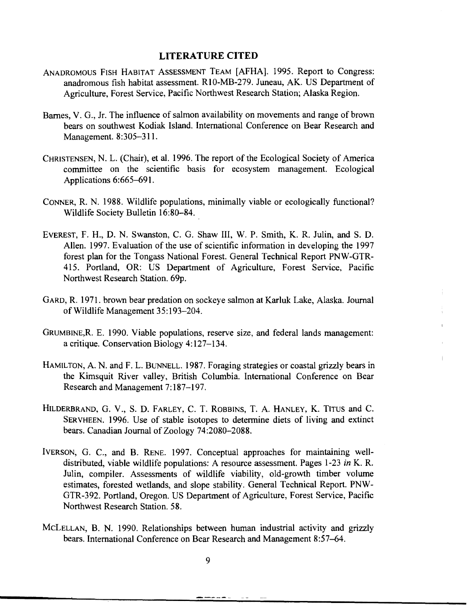#### LITERATURE CITED

- ANADROMOUS FISH HABITAT ASSESSMENT TEAM [AFHA]. 1995. Report to Congress: anadromous fish habitat assessment. RIO-MB-279. Juneau, AK. US Department of Agriculture, Forest Service, Pacific Northwest Research Station; Alaska Region.
- Barnes, V. G., Jr. The influence of salmon availability on movements and range of brown bears on southwest Kodiak Island. International Conference on Bear Research and Management. 8:305-311.
- CHRISTENSEN, N. L. (Chair), et al. 1996. The report of the Ecological Society of America committee on the scientific basis for ecosystem management. Ecological Applications 6:665-691.
- CONNER, R. N. 1988. Wildlife populations, minimally viable or ecologically functional? Wildlife Society Bulletin 16:80-84.
- EVEREST, F. H., D. N. Swanston, C. G. Shaw III, W. P. Smith, K. R. Julin, and S. D. Allen. 1997. Evaluation of the use of scientific information in developing the 1997 forest plan for the Tongass National Forest. General Technical Report PNW-GTR-415. Portland, OR: US Department of Agriculture, Forest Service, Pacific Northwest Research Station. 69p.
- GARD, R. 1971. brown bear predation on sockeye salmon at Karluk Lake, Alaska. Journal of Wildlife Management 35:193-204.
- GRUMBINE,R. E. 1990. Viable populations, reserve size, and federal lands management: a critique. Conservation Biology 4:127-134.
- HAMILTON, A. N. and F. L. BUNNELL. 1987. Foraging strategies or coastal grizzly bears in the Kimsquit River valley, British Columbia. International Conference on Bear Research and Management 7:187-197.
- HILDERBRAND, G. V., S. D. FARLEY, C. T. ROBBINS, T. A. HANLEY, K. TITUS and C. SERVHEEN. 1996. Use of stable isotopes to determine diets of living and extinct bears. Canadian Journal of Zoology 74:2080-2088.
- IVERSON, G. C., and B. RENE. 1997. Conceptual approaches for maintaining welldistributed, viable wildlife populations: A resource assessment. Pages 1-23 *inK.* R. Julin, compiler. Assessments of wildlife viability, old-growth timber volume estimates, forested wetlands, and slope stability. General Technical Report. PNW-GTR-392. Portland, Oregon. US Department of Agriculture, Forest Service, Pacific Northwest Research Station. 58.
- McLELLAN, B. N. 1990. Relationships between human industrial activity and grizzly bears. International Conference on Bear Research and Management 8:57-64.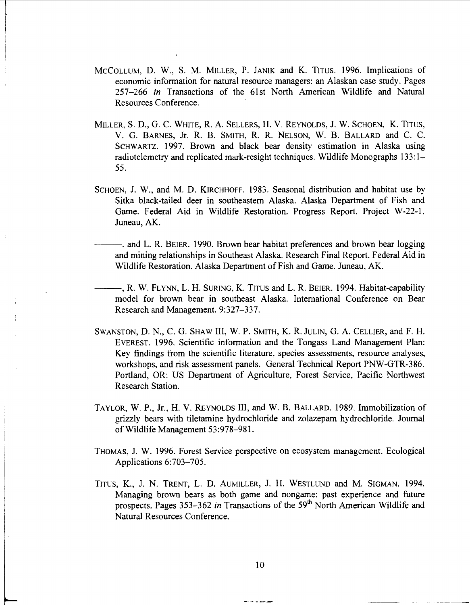- McCOLLUM, D. W., S. M. MILLER, P. JANIK and K. TITUS. 1996. Implications of economic infonnation for natural resource managers: an Alaskan case study. Pages 257-266 *in* Transactions of the 6lst North American Wildlife and Natural Resources Conference.
- MILLER, S.D., G. C. WHITE, R. A. SELLERS, H. V. REYNOLDS, J. W. SCHOEN, K. TITUS, V. G. BARNES, Jr. R. B. SMITH, R. R. NELSON, W. B. BALLARD and C. C. SCHWARTZ. 1997. Brown and black bear density estimation in Alaska using radiotelemetry and replicated mark-resight techniques. Wildlife Monographs  $133:1-$ 55.
- SCHOEN, J. W., and M. D. KIRCHHOFF. 1983. Seasonal distribution and habitat use by Sitka black-tailed deer in southeastern Alaska. Alaska Department of Fish and Game. Federal Aid in Wildlife Restoration. Progress Report. Project W~22~1. Juneau, AK.
- $-$ . and L. R. BEIER. 1990. Brown bear habitat preferences and brown bear logging and mining relationships in Southeast Alaska. Research Final Report. Federal Aid in Wildlife Restoration. Alaska Department of Fish and Game. Juneau, AK.
- ---, R. W. FLYNN, L. H. SURING, K. TITUS and L. R. BEIER. 1994. Habitat~capability model for brown bear in southeast Alaska. International Conference on Bear Research and Management. 9:327-337.
- SWANSTON, D. N., C. G. SHAW III, W. P. SMITH, K. R. JULIN, G. A. CELLIER, and F. H. EVEREST. 1996. Scientific infonnation and the Tongass Land Management Plan: Key findings from the scientific literature, species assessments, resource analyses, workshops, and risk assessment panels. General Technical Report PNW-GTR~386. Portland, OR: US Department of Agriculture, Forest Service, Pacific Northwest Research Station.
- TAYLOR, W. P., Jr., H. V. REYNOLDS III, and W. B. BALLARD. 1989. Immobilization of grizzly bears with tiletamine hydrochloride and zolazepam hydrochloride. Journal of Wildlife Management 53:978-981.
- THOMAS, J. W. 1996. Forest Service perspective on ecosystem management. Ecological Applications 6:703-705.
- TITUS, K., J. N. TRENT, L. D. AUMILLER, J. H. WESTLUND and M. SIGMAN. 1994. Managing brown bears as both game and nongame: past experience and future prospects. Pages 353–362 in Transactions of the 59<sup>th</sup> North American Wildlife and Natural Resources Conference.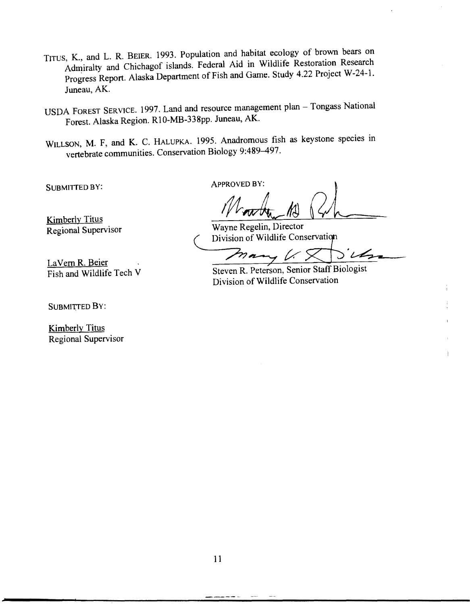- TITUS, K., and L. R. BEIER. 1993. Population and habitat ecology of brown bears on Admiralty and Chichagof islands. Federal Aid in Wildlife Restoration Research Progress Report. Alaska Department of Fish and Game. Study 4.22 Project W-24-1. Juneau, AK.
- USDA FOREST SERVICE. 1997. Land and resource management plan Tongass National Forest. Alaska Region. Rl0-MB-338pp. Juneau, AK.
- WILLSON, M. F, and K. C. HALUPKA. 1995. Anadromous fish as keystone species in vertebrate communities. Conservation Biology 9:489-497.

**APPROVED BY:** 

SUBMITTED BY:

Kimberly Titus Regional Supervisor

Wayne Regelin, Director Division of Wildlife Conservation

Steven R. Peterson, Senior Staff Biologist Division of Wildlife Conservation

LaVern R. Beier<br>Fish and Wildlife Tech V

SUBMITTED BY:

Kimberly Titus Regional Supervisor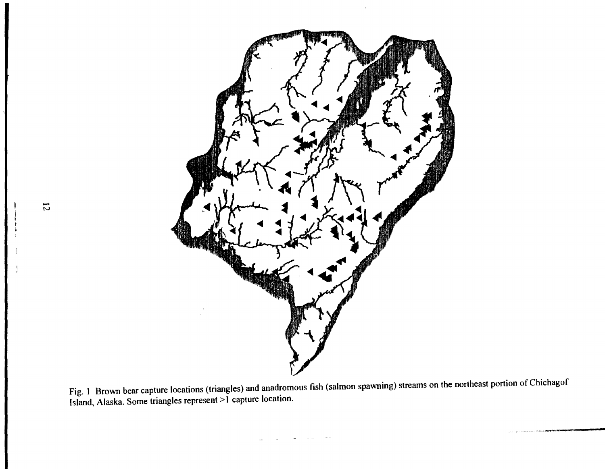

 $F_{1g}$  1. Brown bear capture locations (triangles) and anadromous fish (salmon spawning) streams on the northeast portion of Chichagoff Island, Alaska. Some triangles represent > 1 capture location.

- N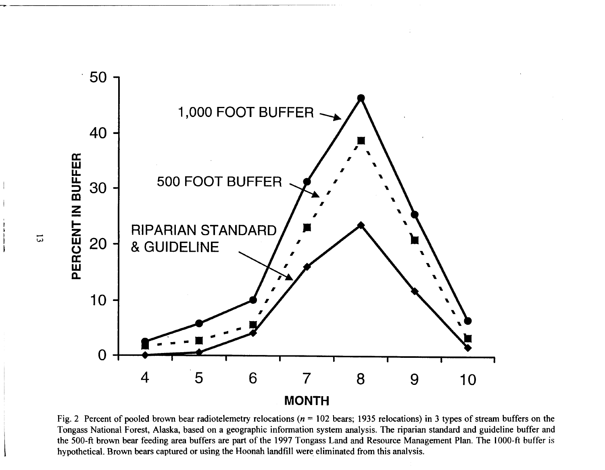

Fig. 2 Percent of pooled brown bear radiotelemetry relocations ( $n = 102$  bears; 1935 relocations) in 3 types of stream buffers on the Tongass National Forest, Alaska, based on a geographic information system analysis. The riparian standard and guideline buffer and the 500-ft brown bear feeding area buffers are part of the 1997 Tongass Land and Resource Management Plan. The 1000-ft buffer is hypothetical. Brown bears captured or using the Hoonah landfill were eliminated from this analysis.

 $\Xi$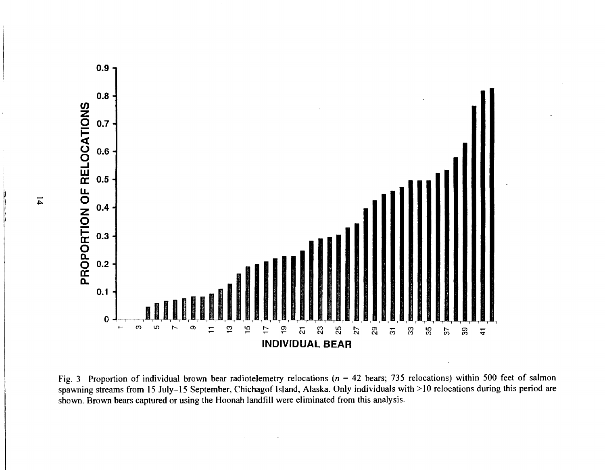

Fig. 3 Proportion of individual brown bear radiotelemetry relocations ( $n = 42$  bears; 735 relocations) within 500 feet of salmon spawning streams from 15 July-15 September, Chichagof Island, Alaska. Only individuals with >10 relocations during this period are shown. Brown bears captured or using the Hoonah landfill were eliminated from this analysis.

 $\mathbf{14}$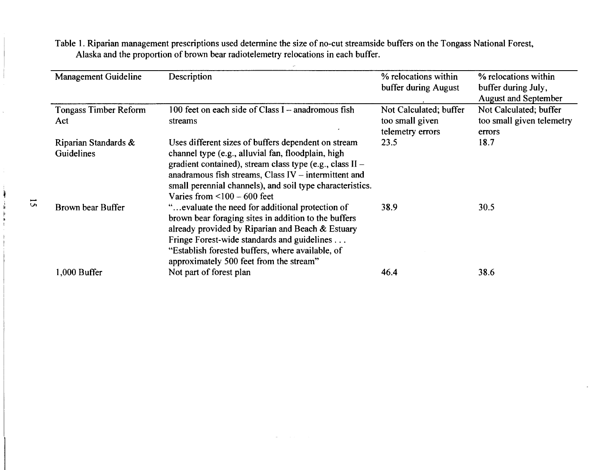|                      | Management Guideline                | Description                                                                                                                                                                                                                                                                                                                       | % relocations within<br>buffer during August                  | % relocations within<br>buffer during July,<br><b>August and September</b> |
|----------------------|-------------------------------------|-----------------------------------------------------------------------------------------------------------------------------------------------------------------------------------------------------------------------------------------------------------------------------------------------------------------------------------|---------------------------------------------------------------|----------------------------------------------------------------------------|
|                      | <b>Tongass Timber Reform</b><br>Act | 100 feet on each side of Class $I$ - anadromous fish<br>streams                                                                                                                                                                                                                                                                   | Not Calculated; buffer<br>too small given<br>telemetry errors | Not Calculated; buffer<br>too small given telemetry<br>errors              |
|                      | Riparian Standards &<br>Guidelines  | Uses different sizes of buffers dependent on stream<br>channel type (e.g., alluvial fan, floodplain, high<br>gradient contained), stream class type (e.g., class II -<br>anadramous fish streams, Class $IV$ – intermittent and<br>small perennial channels), and soil type characteristics.<br>Varies from $\leq 100 - 600$ feet | 23.5                                                          | 18.7                                                                       |
| $\tilde{\mathbf{c}}$ | Brown bear Buffer                   | "evaluate the need for additional protection of<br>brown bear foraging sites in addition to the buffers<br>already provided by Riparian and Beach & Estuary<br>Fringe Forest-wide standards and guidelines<br>"Establish forested buffers, where available, of<br>approximately 500 feet from the stream"                         | 38.9                                                          | 30.5                                                                       |
|                      | 1,000 Buffer                        | Not part of forest plan                                                                                                                                                                                                                                                                                                           | 46.4                                                          | 38.6                                                                       |
|                      |                                     |                                                                                                                                                                                                                                                                                                                                   |                                                               |                                                                            |

Table I. Riparian management prescriptions used determine the size of no-cut streamside buffers on the Tongass National Forest, Alaska and the proportion of brown bear radiotelemetry relocations in each buffer.